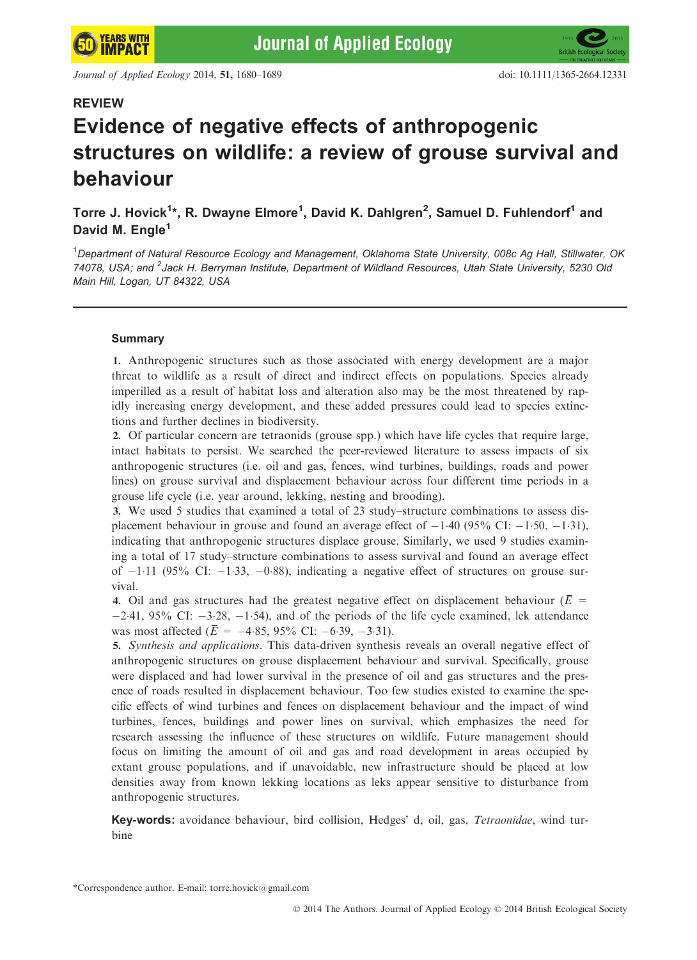Journal of Applied Ecology 2014, 51, 1680–1689 doi: 10.1111/1365-2664.12331

# REVIEW

# Evidence of negative effects of anthropogenic structures on wildlife: a review of grouse survival and behaviour

Torre J. Hovick<sup>1</sup>\*, R. Dwayne Elmore<sup>1</sup>, David K. Dahlgren<sup>2</sup>, Samuel D. Fuhlendorf<sup>1</sup> and David M. Engle<sup>1</sup>

<sup>1</sup>Department of Natural Resource Ecology and Management, Oklahoma State University, 008c Ag Hall, Stillwater, OK 74078, USA; and <sup>2</sup>Jack H. Berryman Institute, Department of Wildland Resources, Utah State University, 5230 Old Main Hill, Logan, UT 84322, USA

# Summary

1. Anthropogenic structures such as those associated with energy development are a major threat to wildlife as a result of direct and indirect effects on populations. Species already imperilled as a result of habitat loss and alteration also may be the most threatened by rapidly increasing energy development, and these added pressures could lead to species extinctions and further declines in biodiversity.

2. Of particular concern are tetraonids (grouse spp.) which have life cycles that require large, intact habitats to persist. We searched the peer-reviewed literature to assess impacts of six anthropogenic structures (i.e. oil and gas, fences, wind turbines, buildings, roads and power lines) on grouse survival and displacement behaviour across four different time periods in a grouse life cycle (i.e. year around, lekking, nesting and brooding).

3. We used 5 studies that examined a total of 23 study–structure combinations to assess displacement behaviour in grouse and found an average effect of  $-1.40$  (95% CI:  $-1.50$ ,  $-1.31$ ), indicating that anthropogenic structures displace grouse. Similarly, we used 9 studies examining a total of 17 study–structure combinations to assess survival and found an average effect of  $-1.11$  (95% CI:  $-1.33$ ,  $-0.88$ ), indicating a negative effect of structures on grouse survival.

4. Oil and gas structures had the greatest negative effect on displacement behaviour ( $\overline{E}$  =  $-2.41$ ,  $95\%$  CI:  $-3.28$ ,  $-1.54$ ), and of the periods of the life cycle examined, lek attendance was most affected  $(\bar{E} = -4.85, 95\% \text{ CI: } -6.39, -3.31).$ 

5. Synthesis and applications. This data-driven synthesis reveals an overall negative effect of anthropogenic structures on grouse displacement behaviour and survival. Specifically, grouse were displaced and had lower survival in the presence of oil and gas structures and the presence of roads resulted in displacement behaviour. Too few studies existed to examine the specific effects of wind turbines and fences on displacement behaviour and the impact of wind turbines, fences, buildings and power lines on survival, which emphasizes the need for research assessing the influence of these structures on wildlife. Future management should focus on limiting the amount of oil and gas and road development in areas occupied by extant grouse populations, and if unavoidable, new infrastructure should be placed at low densities away from known lekking locations as leks appear sensitive to disturbance from anthropogenic structures.

Key-words: avoidance behaviour, bird collision, Hedges' d, oil, gas, Tetraonidae, wind turbine

\*Correspondence author. E-mail: torre.hovick@gmail.com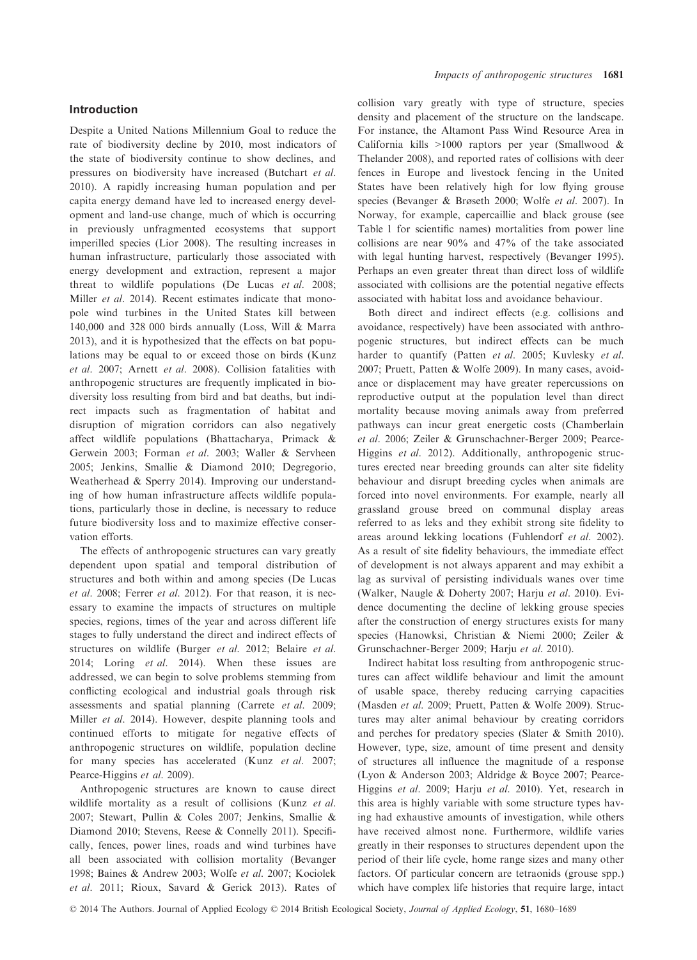# Introduction

Despite a United Nations Millennium Goal to reduce the rate of biodiversity decline by 2010, most indicators of the state of biodiversity continue to show declines, and pressures on biodiversity have increased (Butchart et al. 2010). A rapidly increasing human population and per capita energy demand have led to increased energy development and land-use change, much of which is occurring in previously unfragmented ecosystems that support imperilled species (Lior 2008). The resulting increases in human infrastructure, particularly those associated with energy development and extraction, represent a major threat to wildlife populations (De Lucas et al. 2008; Miller et al. 2014). Recent estimates indicate that monopole wind turbines in the United States kill between 140,000 and 328 000 birds annually (Loss, Will & Marra 2013), and it is hypothesized that the effects on bat populations may be equal to or exceed those on birds (Kunz et al. 2007; Arnett et al. 2008). Collision fatalities with anthropogenic structures are frequently implicated in biodiversity loss resulting from bird and bat deaths, but indirect impacts such as fragmentation of habitat and disruption of migration corridors can also negatively affect wildlife populations (Bhattacharya, Primack & Gerwein 2003; Forman et al. 2003; Waller & Servheen 2005; Jenkins, Smallie & Diamond 2010; Degregorio, Weatherhead & Sperry 2014). Improving our understanding of how human infrastructure affects wildlife populations, particularly those in decline, is necessary to reduce future biodiversity loss and to maximize effective conservation efforts.

The effects of anthropogenic structures can vary greatly dependent upon spatial and temporal distribution of structures and both within and among species (De Lucas et al. 2008; Ferrer et al. 2012). For that reason, it is necessary to examine the impacts of structures on multiple species, regions, times of the year and across different life stages to fully understand the direct and indirect effects of structures on wildlife (Burger et al. 2012; Belaire et al. 2014; Loring et al. 2014). When these issues are addressed, we can begin to solve problems stemming from conflicting ecological and industrial goals through risk assessments and spatial planning (Carrete et al. 2009; Miller et al. 2014). However, despite planning tools and continued efforts to mitigate for negative effects of anthropogenic structures on wildlife, population decline for many species has accelerated (Kunz et al. 2007; Pearce-Higgins et al. 2009).

Anthropogenic structures are known to cause direct wildlife mortality as a result of collisions (Kunz et al. 2007; Stewart, Pullin & Coles 2007; Jenkins, Smallie & Diamond 2010; Stevens, Reese & Connelly 2011). Specifically, fences, power lines, roads and wind turbines have all been associated with collision mortality (Bevanger 1998; Baines & Andrew 2003; Wolfe et al. 2007; Kociolek et al. 2011; Rioux, Savard & Gerick 2013). Rates of collision vary greatly with type of structure, species density and placement of the structure on the landscape. For instance, the Altamont Pass Wind Resource Area in California kills >1000 raptors per year (Smallwood & Thelander 2008), and reported rates of collisions with deer fences in Europe and livestock fencing in the United States have been relatively high for low flying grouse species (Bevanger & Brøseth 2000; Wolfe et al. 2007). In Norway, for example, capercaillie and black grouse (see Table 1 for scientific names) mortalities from power line collisions are near 90% and 47% of the take associated with legal hunting harvest, respectively (Bevanger 1995). Perhaps an even greater threat than direct loss of wildlife associated with collisions are the potential negative effects associated with habitat loss and avoidance behaviour.

Both direct and indirect effects (e.g. collisions and avoidance, respectively) have been associated with anthropogenic structures, but indirect effects can be much harder to quantify (Patten et al. 2005; Kuvlesky et al. 2007; Pruett, Patten & Wolfe 2009). In many cases, avoidance or displacement may have greater repercussions on reproductive output at the population level than direct mortality because moving animals away from preferred pathways can incur great energetic costs (Chamberlain et al. 2006; Zeiler & Grunschachner-Berger 2009; Pearce-Higgins et al. 2012). Additionally, anthropogenic structures erected near breeding grounds can alter site fidelity behaviour and disrupt breeding cycles when animals are forced into novel environments. For example, nearly all grassland grouse breed on communal display areas referred to as leks and they exhibit strong site fidelity to areas around lekking locations (Fuhlendorf et al. 2002). As a result of site fidelity behaviours, the immediate effect of development is not always apparent and may exhibit a lag as survival of persisting individuals wanes over time (Walker, Naugle & Doherty 2007; Harju et al. 2010). Evidence documenting the decline of lekking grouse species after the construction of energy structures exists for many species (Hanowksi, Christian & Niemi 2000; Zeiler & Grunschachner-Berger 2009; Harju et al. 2010).

Indirect habitat loss resulting from anthropogenic structures can affect wildlife behaviour and limit the amount of usable space, thereby reducing carrying capacities (Masden et al. 2009; Pruett, Patten & Wolfe 2009). Structures may alter animal behaviour by creating corridors and perches for predatory species (Slater & Smith 2010). However, type, size, amount of time present and density of structures all influence the magnitude of a response (Lyon & Anderson 2003; Aldridge & Boyce 2007; Pearce-Higgins et al. 2009; Harju et al. 2010). Yet, research in this area is highly variable with some structure types having had exhaustive amounts of investigation, while others have received almost none. Furthermore, wildlife varies greatly in their responses to structures dependent upon the period of their life cycle, home range sizes and many other factors. Of particular concern are tetraonids (grouse spp.) which have complex life histories that require large, intact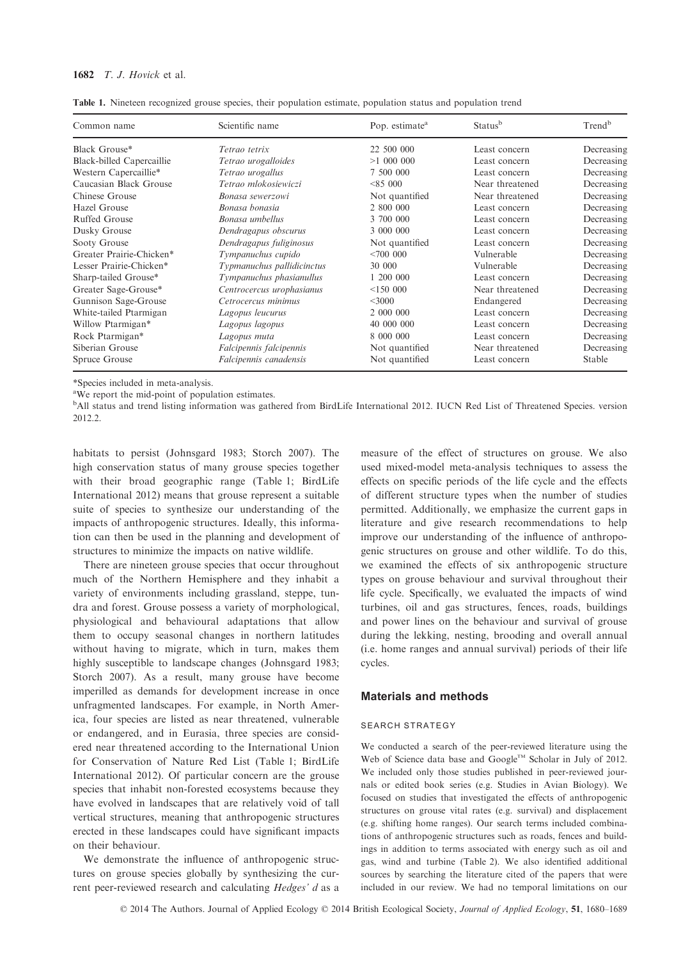## 1682  $T \cdot J$ . Hovick et al.

|  |  |  |  |  | Table 1. Nineteen recognized grouse species, their population estimate, population status and population trend |  |
|--|--|--|--|--|----------------------------------------------------------------------------------------------------------------|--|
|  |  |  |  |  |                                                                                                                |  |

| Common name                      | Scientific name            | Pop. estimate <sup>a</sup> | <b>Status</b> <sup>b</sup> | Trend <sup>b</sup> |
|----------------------------------|----------------------------|----------------------------|----------------------------|--------------------|
| Black Grouse*                    | Tetrao tetrix              | 22 500 000                 | Least concern              | Decreasing         |
| <b>Black-billed Capercaillie</b> | Tetrao urogalloides        | $>1$ 000 000               | Least concern              | Decreasing         |
| Western Capercaillie*            | Tetrao urogallus           | 7 500 000                  | Least concern              | Decreasing         |
| Caucasian Black Grouse           | Tetrao mlokosiewiczi       | < 85000                    | Near threatened            | Decreasing         |
| Chinese Grouse                   | Bonasa sewerzowi           | Not quantified             | Near threatened            | Decreasing         |
| Hazel Grouse                     | Bonasa bonasia             | 2 800 000                  | Least concern              | Decreasing         |
| Ruffed Grouse                    | Bonasa umbellus            | 3 700 000                  | Least concern              | Decreasing         |
| Dusky Grouse                     | Dendragapus obscurus       | 3 000 000                  | Least concern              | Decreasing         |
| Sooty Grouse                     | Dendragapus fuliginosus    | Not quantified             | Least concern              | Decreasing         |
| Greater Prairie-Chicken*         | Tympanuchus cupido         | <700000                    | Vulnerable                 | Decreasing         |
| Lesser Prairie-Chicken*          | Typmanuchus pallidicinctus | 30 000                     | Vulnerable                 | Decreasing         |
| Sharp-tailed Grouse*             | Tympanuchus phasianullus   | 1 200 000                  | Least concern              | Decreasing         |
| Greater Sage-Grouse*             | Centrocercus urophasianus  | < 150000                   | Near threatened            | Decreasing         |
| Gunnison Sage-Grouse             | Cetrocercus minimus        | $<$ 3000                   | Endangered                 | Decreasing         |
| White-tailed Ptarmigan           | Lagopus leucurus           | 2 000 000                  | Least concern              | Decreasing         |
| Willow Ptarmigan*                | Lagopus lagopus            | 40 000 000                 | Least concern              | Decreasing         |
| Rock Ptarmigan*                  | Lagopus muta               | 8 000 000                  | Least concern              | Decreasing         |
| Siberian Grouse                  | Falcipennis falcipennis    | Not quantified             | Near threatened            | Decreasing         |
| Spruce Grouse                    | Falcipennis canadensis     | Not quantified             | Least concern              | Stable             |

\*Species included in meta-analysis.

<sup>a</sup>We report the mid-point of population estimates.

b All status and trend listing information was gathered from BirdLife International 2012. IUCN Red List of Threatened Species. version 2012.2.

habitats to persist (Johnsgard 1983; Storch 2007). The high conservation status of many grouse species together with their broad geographic range (Table 1; BirdLife International 2012) means that grouse represent a suitable suite of species to synthesize our understanding of the impacts of anthropogenic structures. Ideally, this information can then be used in the planning and development of structures to minimize the impacts on native wildlife.

There are nineteen grouse species that occur throughout much of the Northern Hemisphere and they inhabit a variety of environments including grassland, steppe, tundra and forest. Grouse possess a variety of morphological, physiological and behavioural adaptations that allow them to occupy seasonal changes in northern latitudes without having to migrate, which in turn, makes them highly susceptible to landscape changes (Johnsgard 1983; Storch 2007). As a result, many grouse have become imperilled as demands for development increase in once unfragmented landscapes. For example, in North America, four species are listed as near threatened, vulnerable or endangered, and in Eurasia, three species are considered near threatened according to the International Union for Conservation of Nature Red List (Table 1; BirdLife International 2012). Of particular concern are the grouse species that inhabit non-forested ecosystems because they have evolved in landscapes that are relatively void of tall vertical structures, meaning that anthropogenic structures erected in these landscapes could have significant impacts on their behaviour.

We demonstrate the influence of anthropogenic structures on grouse species globally by synthesizing the current peer-reviewed research and calculating Hedges' d as a

measure of the effect of structures on grouse. We also used mixed-model meta-analysis techniques to assess the effects on specific periods of the life cycle and the effects of different structure types when the number of studies permitted. Additionally, we emphasize the current gaps in literature and give research recommendations to help improve our understanding of the influence of anthropogenic structures on grouse and other wildlife. To do this, we examined the effects of six anthropogenic structure types on grouse behaviour and survival throughout their life cycle. Specifically, we evaluated the impacts of wind turbines, oil and gas structures, fences, roads, buildings and power lines on the behaviour and survival of grouse during the lekking, nesting, brooding and overall annual (i.e. home ranges and annual survival) periods of their life cycles.

## Materials and methods

### SEARCH STRATEGY

We conducted a search of the peer-reviewed literature using the Web of Science data base and Google™ Scholar in July of 2012. We included only those studies published in peer-reviewed journals or edited book series (e.g. Studies in Avian Biology). We focused on studies that investigated the effects of anthropogenic structures on grouse vital rates (e.g. survival) and displacement (e.g. shifting home ranges). Our search terms included combinations of anthropogenic structures such as roads, fences and buildings in addition to terms associated with energy such as oil and gas, wind and turbine (Table 2). We also identified additional sources by searching the literature cited of the papers that were included in our review. We had no temporal limitations on our

© 2014 The Authors. Journal of Applied Ecology © 2014 British Ecological Society, Journal of Applied Ecology, 51, 1680–1689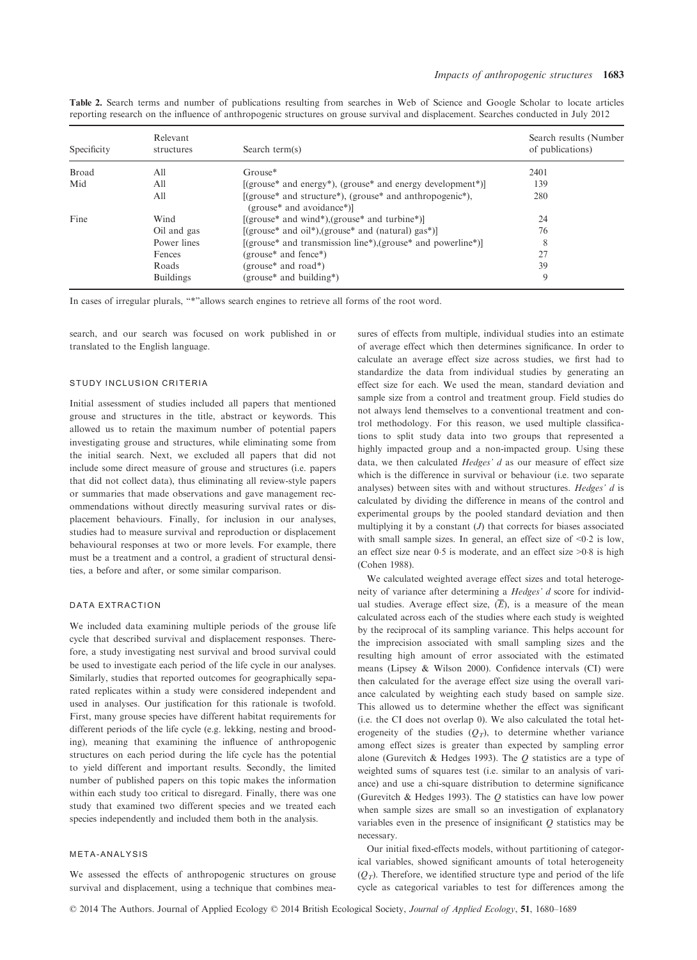| Specificity | Relevant<br>structures | Search term $(s)$                                                                                          | Search results (Number<br>of publications) |
|-------------|------------------------|------------------------------------------------------------------------------------------------------------|--------------------------------------------|
| Broad       | All                    | Grouse*                                                                                                    | 2401                                       |
| Mid         | All                    | $[(\text{grouse*} \text{ and energy*}), (\text{grouse*} \text{ and energy development*})]$                 | 139                                        |
|             | All                    | [(grouse* and structure*), (grouse* and anthropogenic*),<br>(grouse* and avoidance*)]                      | 280                                        |
| Fine        | Wind                   | $[(\text{grouse*} \text{ and } \text{wind*})$ , $(\text{grouse*} \text{ and } \text{turbine*})]$           | 24                                         |
|             | Oil and gas            | $[(\text{grouse*} \text{ and } \text{oil*}), (\text{grouse*} \text{ and } (\text{natural}) \text{ gas*})]$ | 76                                         |
|             | Power lines            | $[(\text{grouse*} \text{ and transmission line*}), (\text{grouse*} \text{ and powerline*})]$               | 8                                          |
|             | Fences                 | (grouse* and fence*)                                                                                       | 27                                         |
|             | Roads                  | (grouse* and road*)                                                                                        | 39                                         |
|             | <b>Buildings</b>       | (grouse* and building*)                                                                                    | 9                                          |

Table 2. Search terms and number of publications resulting from searches in Web of Science and Google Scholar to locate articles reporting research on the influence of anthropogenic structures on grouse survival and displacement. Searches conducted in July 2012

In cases of irregular plurals, "\*"allows search engines to retrieve all forms of the root word.

search, and our search was focused on work published in or translated to the English language.

## STUDY INCLUSION CRITERIA

Initial assessment of studies included all papers that mentioned grouse and structures in the title, abstract or keywords. This allowed us to retain the maximum number of potential papers investigating grouse and structures, while eliminating some from the initial search. Next, we excluded all papers that did not include some direct measure of grouse and structures (i.e. papers that did not collect data), thus eliminating all review-style papers or summaries that made observations and gave management recommendations without directly measuring survival rates or displacement behaviours. Finally, for inclusion in our analyses, studies had to measure survival and reproduction or displacement behavioural responses at two or more levels. For example, there must be a treatment and a control, a gradient of structural densities, a before and after, or some similar comparison.

#### DATA EXTRACTION

We included data examining multiple periods of the grouse life cycle that described survival and displacement responses. Therefore, a study investigating nest survival and brood survival could be used to investigate each period of the life cycle in our analyses. Similarly, studies that reported outcomes for geographically separated replicates within a study were considered independent and used in analyses. Our justification for this rationale is twofold. First, many grouse species have different habitat requirements for different periods of the life cycle (e.g. lekking, nesting and brooding), meaning that examining the influence of anthropogenic structures on each period during the life cycle has the potential to yield different and important results. Secondly, the limited number of published papers on this topic makes the information within each study too critical to disregard. Finally, there was one study that examined two different species and we treated each species independently and included them both in the analysis.

#### META-ANALYSIS

We assessed the effects of anthropogenic structures on grouse survival and displacement, using a technique that combines measures of effects from multiple, individual studies into an estimate of average effect which then determines significance. In order to calculate an average effect size across studies, we first had to standardize the data from individual studies by generating an effect size for each. We used the mean, standard deviation and sample size from a control and treatment group. Field studies do not always lend themselves to a conventional treatment and control methodology. For this reason, we used multiple classifications to split study data into two groups that represented a highly impacted group and a non-impacted group. Using these data, we then calculated  $Hedges'$  d as our measure of effect size which is the difference in survival or behaviour (i.e. two separate analyses) between sites with and without structures. Hedges' d is calculated by dividing the difference in means of the control and experimental groups by the pooled standard deviation and then multiplying it by a constant  $(J)$  that corrects for biases associated with small sample sizes. In general, an effect size of <0.2 is low, an effect size near  $0.5$  is moderate, and an effect size  $>0.8$  is high (Cohen 1988).

We calculated weighted average effect sizes and total heterogeneity of variance after determining a Hedges' d score for individual studies. Average effect size,  $(\overline{E})$ , is a measure of the mean calculated across each of the studies where each study is weighted by the reciprocal of its sampling variance. This helps account for the imprecision associated with small sampling sizes and the resulting high amount of error associated with the estimated means (Lipsey & Wilson 2000). Confidence intervals (CI) were then calculated for the average effect size using the overall variance calculated by weighting each study based on sample size. This allowed us to determine whether the effect was significant (i.e. the CI does not overlap 0). We also calculated the total heterogeneity of the studies  $(Q_T)$ , to determine whether variance among effect sizes is greater than expected by sampling error alone (Gurevitch & Hedges 1993). The  $Q$  statistics are a type of weighted sums of squares test (i.e. similar to an analysis of variance) and use a chi-square distribution to determine significance (Gurevitch & Hedges 1993). The  $Q$  statistics can have low power when sample sizes are small so an investigation of explanatory variables even in the presence of insignificant  $Q$  statistics may be necessary.

Our initial fixed-effects models, without partitioning of categorical variables, showed significant amounts of total heterogeneity  $(Q_T)$ . Therefore, we identified structure type and period of the life cycle as categorical variables to test for differences among the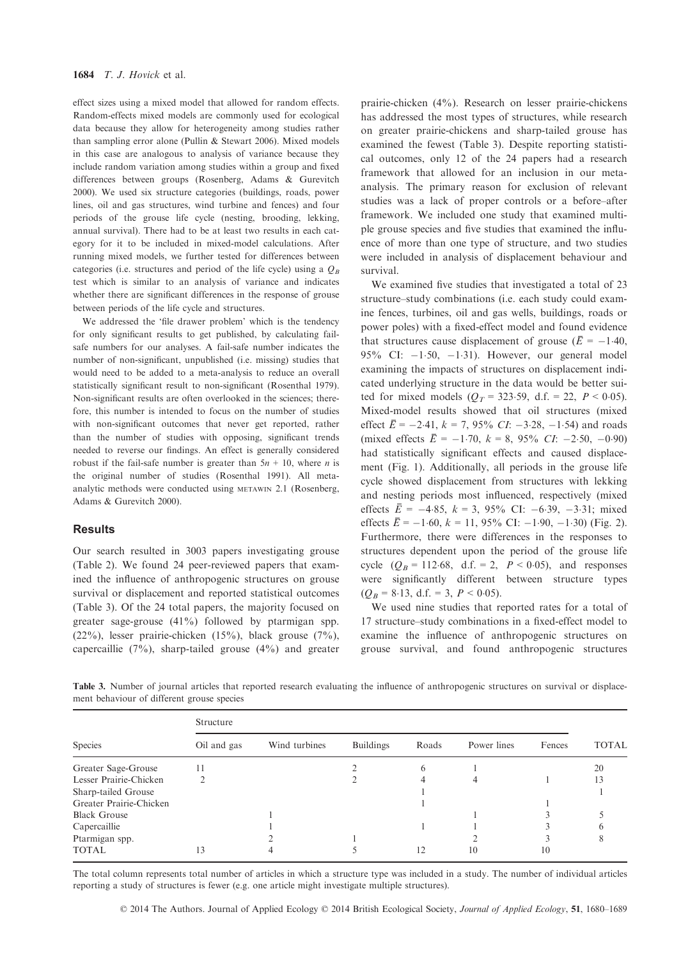effect sizes using a mixed model that allowed for random effects. Random-effects mixed models are commonly used for ecological data because they allow for heterogeneity among studies rather than sampling error alone (Pullin & Stewart 2006). Mixed models in this case are analogous to analysis of variance because they include random variation among studies within a group and fixed differences between groups (Rosenberg, Adams & Gurevitch 2000). We used six structure categories (buildings, roads, power lines, oil and gas structures, wind turbine and fences) and four periods of the grouse life cycle (nesting, brooding, lekking, annual survival). There had to be at least two results in each category for it to be included in mixed-model calculations. After running mixed models, we further tested for differences between categories (i.e. structures and period of the life cycle) using a  $Q_B$ test which is similar to an analysis of variance and indicates whether there are significant differences in the response of grouse between periods of the life cycle and structures.

We addressed the 'file drawer problem' which is the tendency for only significant results to get published, by calculating failsafe numbers for our analyses. A fail-safe number indicates the number of non-significant, unpublished (i.e. missing) studies that would need to be added to a meta-analysis to reduce an overall statistically significant result to non-significant (Rosenthal 1979). Non-significant results are often overlooked in the sciences; therefore, this number is intended to focus on the number of studies with non-significant outcomes that never get reported, rather than the number of studies with opposing, significant trends needed to reverse our findings. An effect is generally considered robust if the fail-safe number is greater than  $5n + 10$ , where *n* is the original number of studies (Rosenthal 1991). All metaanalytic methods were conducted using METAWIN 2.1 (Rosenberg, Adams & Gurevitch 2000).

#### Results

Our search resulted in 3003 papers investigating grouse (Table 2). We found 24 peer-reviewed papers that examined the influence of anthropogenic structures on grouse survival or displacement and reported statistical outcomes (Table 3). Of the 24 total papers, the majority focused on greater sage-grouse (41%) followed by ptarmigan spp. (22%), lesser prairie-chicken (15%), black grouse (7%), capercaillie (7%), sharp-tailed grouse (4%) and greater prairie-chicken (4%). Research on lesser prairie-chickens has addressed the most types of structures, while research on greater prairie-chickens and sharp-tailed grouse has examined the fewest (Table 3). Despite reporting statistical outcomes, only 12 of the 24 papers had a research framework that allowed for an inclusion in our metaanalysis. The primary reason for exclusion of relevant studies was a lack of proper controls or a before–after framework. We included one study that examined multiple grouse species and five studies that examined the influence of more than one type of structure, and two studies were included in analysis of displacement behaviour and survival.

We examined five studies that investigated a total of 23 structure–study combinations (i.e. each study could examine fences, turbines, oil and gas wells, buildings, roads or power poles) with a fixed-effect model and found evidence that structures cause displacement of grouse ( $\overline{E} = -1.40$ , 95% CI:  $-1.50$ ,  $-1.31$ ). However, our general model examining the impacts of structures on displacement indicated underlying structure in the data would be better suited for mixed models ( $Q_T$  = 323.59, d.f. = 22,  $P < 0.05$ ). Mixed-model results showed that oil structures (mixed effect  $\bar{E} = -2.41, k = 7,95\% \text{ } CI: -3.28, -1.54)$  and roads (mixed effects  $\overline{E} = -1.70$ ,  $k = 8$ , 95% CI: -2.50, -0.90) had statistically significant effects and caused displacement (Fig. 1). Additionally, all periods in the grouse life cycle showed displacement from structures with lekking and nesting periods most influenced, respectively (mixed effects  $\overline{E}$  = -4.85,  $k$  = 3, 95% CI: -6.39, -3.31; mixed effects  $\overline{E}$  = -1.60,  $k$  = 11, 95% CI: -1.90, -1.30) (Fig. 2). Furthermore, there were differences in the responses to structures dependent upon the period of the grouse life cycle  $(Q_B = 112.68, d.f. = 2, P < 0.05)$ , and responses were significantly different between structure types  $(Q_B = 8.13, d.f. = 3, P < 0.05).$ 

We used nine studies that reported rates for a total of 17 structure–study combinations in a fixed-effect model to examine the influence of anthropogenic structures on grouse survival, and found anthropogenic structures

Table 3. Number of journal articles that reported research evaluating the influence of anthropogenic structures on survival or displacement behaviour of different grouse species

|                         | Structure   |               |                  |          |             |        |              |
|-------------------------|-------------|---------------|------------------|----------|-------------|--------|--------------|
| <b>Species</b>          | Oil and gas | Wind turbines | <b>Buildings</b> | Roads    | Power lines | Fences | <b>TOTAL</b> |
| Greater Sage-Grouse     | 11          |               |                  | $\theta$ |             |        | 20           |
| Lesser Prairie-Chicken  |             |               |                  |          |             |        |              |
| Sharp-tailed Grouse     |             |               |                  |          |             |        |              |
| Greater Prairie-Chicken |             |               |                  |          |             |        |              |
| <b>Black Grouse</b>     |             |               |                  |          |             |        |              |
| Capercaillie            |             |               |                  |          |             |        |              |
| Ptarmigan spp.          |             |               |                  |          |             |        |              |
| <b>TOTAL</b>            | 13          |               |                  | 12       | 10          | 10     |              |

The total column represents total number of articles in which a structure type was included in a study. The number of individual articles reporting a study of structures is fewer (e.g. one article might investigate multiple structures).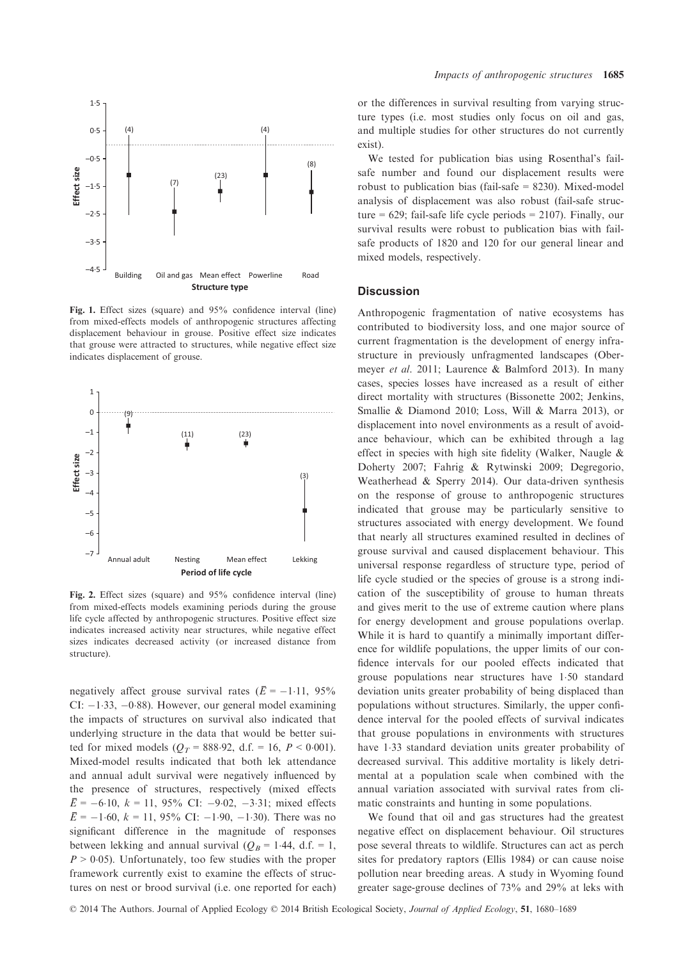

Fig. 1. Effect sizes (square) and 95% confidence interval (line) from mixed-effects models of anthropogenic structures affecting displacement behaviour in grouse. Positive effect size indicates that grouse were attracted to structures, while negative effect size indicates displacement of grouse.



Fig. 2. Effect sizes (square) and 95% confidence interval (line) from mixed-effects models examining periods during the grouse life cycle affected by anthropogenic structures. Positive effect size indicates increased activity near structures, while negative effect sizes indicates decreased activity (or increased distance from structure).

negatively affect grouse survival rates ( $\overline{E} = -1.11, 95\%$ CI:  $-1.33$ ,  $-0.88$ ). However, our general model examining the impacts of structures on survival also indicated that underlying structure in the data that would be better suited for mixed models ( $Q_T$  = 888.92, d.f. = 16,  $P < 0.001$ ). Mixed-model results indicated that both lek attendance and annual adult survival were negatively influenced by the presence of structures, respectively (mixed effects  $\overline{E}$  = -6.10,  $k = 11$ , 95% CI: -9.02, -3.31; mixed effects  $\overline{E}$  = -1.60, k = 11, 95% CI: -1.90, -1.30). There was no significant difference in the magnitude of responses between lekking and annual survival  $(Q_B = 1.44, d.f. = 1,$  $P > 0.05$ ). Unfortunately, too few studies with the proper framework currently exist to examine the effects of structures on nest or brood survival (i.e. one reported for each) or the differences in survival resulting from varying structure types (i.e. most studies only focus on oil and gas, and multiple studies for other structures do not currently exist).

We tested for publication bias using Rosenthal's failsafe number and found our displacement results were robust to publication bias (fail-safe = 8230). Mixed-model analysis of displacement was also robust (fail-safe structure = 629; fail-safe life cycle periods = 2107). Finally, our survival results were robust to publication bias with failsafe products of 1820 and 120 for our general linear and mixed models, respectively.

#### **Discussion**

Anthropogenic fragmentation of native ecosystems has contributed to biodiversity loss, and one major source of current fragmentation is the development of energy infrastructure in previously unfragmented landscapes (Obermeyer et al. 2011; Laurence & Balmford 2013). In many cases, species losses have increased as a result of either direct mortality with structures (Bissonette 2002; Jenkins, Smallie & Diamond 2010; Loss, Will & Marra 2013), or displacement into novel environments as a result of avoidance behaviour, which can be exhibited through a lag effect in species with high site fidelity (Walker, Naugle & Doherty 2007; Fahrig & Rytwinski 2009; Degregorio, Weatherhead & Sperry 2014). Our data-driven synthesis on the response of grouse to anthropogenic structures indicated that grouse may be particularly sensitive to structures associated with energy development. We found that nearly all structures examined resulted in declines of grouse survival and caused displacement behaviour. This universal response regardless of structure type, period of life cycle studied or the species of grouse is a strong indication of the susceptibility of grouse to human threats and gives merit to the use of extreme caution where plans for energy development and grouse populations overlap. While it is hard to quantify a minimally important difference for wildlife populations, the upper limits of our confidence intervals for our pooled effects indicated that grouse populations near structures have 150 standard deviation units greater probability of being displaced than populations without structures. Similarly, the upper confidence interval for the pooled effects of survival indicates that grouse populations in environments with structures have 133 standard deviation units greater probability of decreased survival. This additive mortality is likely detrimental at a population scale when combined with the annual variation associated with survival rates from climatic constraints and hunting in some populations.

We found that oil and gas structures had the greatest negative effect on displacement behaviour. Oil structures pose several threats to wildlife. Structures can act as perch sites for predatory raptors (Ellis 1984) or can cause noise pollution near breeding areas. A study in Wyoming found greater sage-grouse declines of 73% and 29% at leks with

© 2014 The Authors. Journal of Applied Ecology © 2014 British Ecological Society, Journal of Applied Ecology, 51, 1680–1689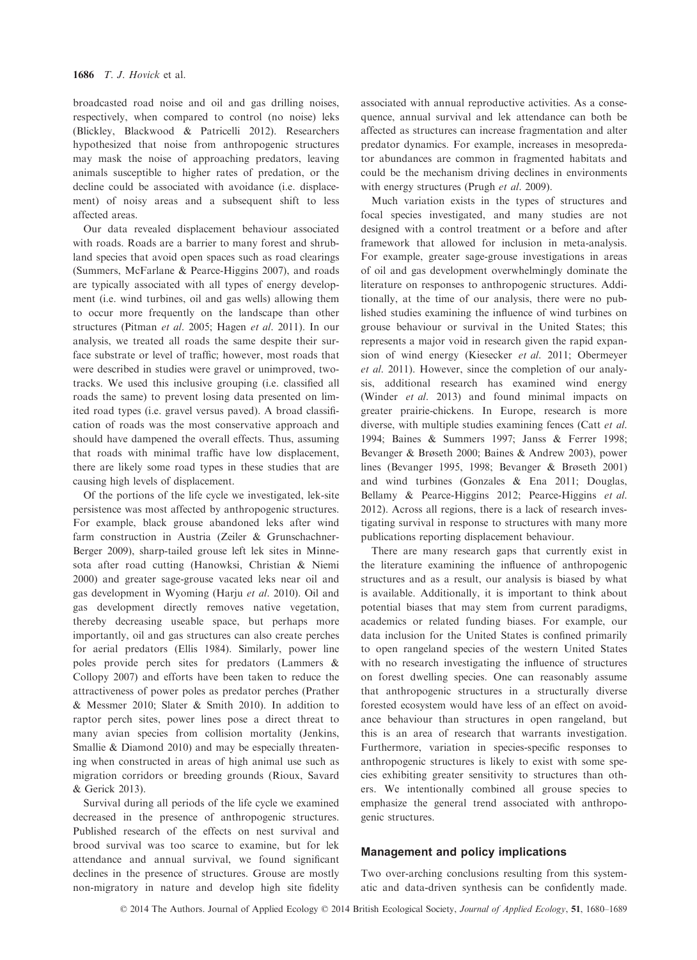broadcasted road noise and oil and gas drilling noises, respectively, when compared to control (no noise) leks (Blickley, Blackwood & Patricelli 2012). Researchers hypothesized that noise from anthropogenic structures may mask the noise of approaching predators, leaving animals susceptible to higher rates of predation, or the decline could be associated with avoidance (i.e. displacement) of noisy areas and a subsequent shift to less affected areas.

Our data revealed displacement behaviour associated with roads. Roads are a barrier to many forest and shrubland species that avoid open spaces such as road clearings (Summers, McFarlane & Pearce-Higgins 2007), and roads are typically associated with all types of energy development (i.e. wind turbines, oil and gas wells) allowing them to occur more frequently on the landscape than other structures (Pitman et al. 2005; Hagen et al. 2011). In our analysis, we treated all roads the same despite their surface substrate or level of traffic; however, most roads that were described in studies were gravel or unimproved, twotracks. We used this inclusive grouping (i.e. classified all roads the same) to prevent losing data presented on limited road types (i.e. gravel versus paved). A broad classification of roads was the most conservative approach and should have dampened the overall effects. Thus, assuming that roads with minimal traffic have low displacement, there are likely some road types in these studies that are causing high levels of displacement.

Of the portions of the life cycle we investigated, lek-site persistence was most affected by anthropogenic structures. For example, black grouse abandoned leks after wind farm construction in Austria (Zeiler & Grunschachner-Berger 2009), sharp-tailed grouse left lek sites in Minnesota after road cutting (Hanowksi, Christian & Niemi 2000) and greater sage-grouse vacated leks near oil and gas development in Wyoming (Harju et al. 2010). Oil and gas development directly removes native vegetation, thereby decreasing useable space, but perhaps more importantly, oil and gas structures can also create perches for aerial predators (Ellis 1984). Similarly, power line poles provide perch sites for predators (Lammers & Collopy 2007) and efforts have been taken to reduce the attractiveness of power poles as predator perches (Prather & Messmer 2010; Slater & Smith 2010). In addition to raptor perch sites, power lines pose a direct threat to many avian species from collision mortality (Jenkins, Smallie & Diamond 2010) and may be especially threatening when constructed in areas of high animal use such as migration corridors or breeding grounds (Rioux, Savard & Gerick 2013).

Survival during all periods of the life cycle we examined decreased in the presence of anthropogenic structures. Published research of the effects on nest survival and brood survival was too scarce to examine, but for lek attendance and annual survival, we found significant declines in the presence of structures. Grouse are mostly non-migratory in nature and develop high site fidelity associated with annual reproductive activities. As a consequence, annual survival and lek attendance can both be affected as structures can increase fragmentation and alter predator dynamics. For example, increases in mesopredator abundances are common in fragmented habitats and could be the mechanism driving declines in environments with energy structures (Prugh et al. 2009).

Much variation exists in the types of structures and focal species investigated, and many studies are not designed with a control treatment or a before and after framework that allowed for inclusion in meta-analysis. For example, greater sage-grouse investigations in areas of oil and gas development overwhelmingly dominate the literature on responses to anthropogenic structures. Additionally, at the time of our analysis, there were no published studies examining the influence of wind turbines on grouse behaviour or survival in the United States; this represents a major void in research given the rapid expansion of wind energy (Kiesecker et al. 2011; Obermeyer et al. 2011). However, since the completion of our analysis, additional research has examined wind energy (Winder et al. 2013) and found minimal impacts on greater prairie-chickens. In Europe, research is more diverse, with multiple studies examining fences (Catt et al. 1994; Baines & Summers 1997; Janss & Ferrer 1998; Bevanger & Brøseth 2000; Baines & Andrew 2003), power lines (Bevanger 1995, 1998; Bevanger & Brøseth 2001) and wind turbines (Gonzales & Ena 2011; Douglas, Bellamy & Pearce-Higgins 2012; Pearce-Higgins et al. 2012). Across all regions, there is a lack of research investigating survival in response to structures with many more publications reporting displacement behaviour.

There are many research gaps that currently exist in the literature examining the influence of anthropogenic structures and as a result, our analysis is biased by what is available. Additionally, it is important to think about potential biases that may stem from current paradigms, academics or related funding biases. For example, our data inclusion for the United States is confined primarily to open rangeland species of the western United States with no research investigating the influence of structures on forest dwelling species. One can reasonably assume that anthropogenic structures in a structurally diverse forested ecosystem would have less of an effect on avoidance behaviour than structures in open rangeland, but this is an area of research that warrants investigation. Furthermore, variation in species-specific responses to anthropogenic structures is likely to exist with some species exhibiting greater sensitivity to structures than others. We intentionally combined all grouse species to emphasize the general trend associated with anthropogenic structures.

## Management and policy implications

Two over-arching conclusions resulting from this systematic and data-driven synthesis can be confidently made.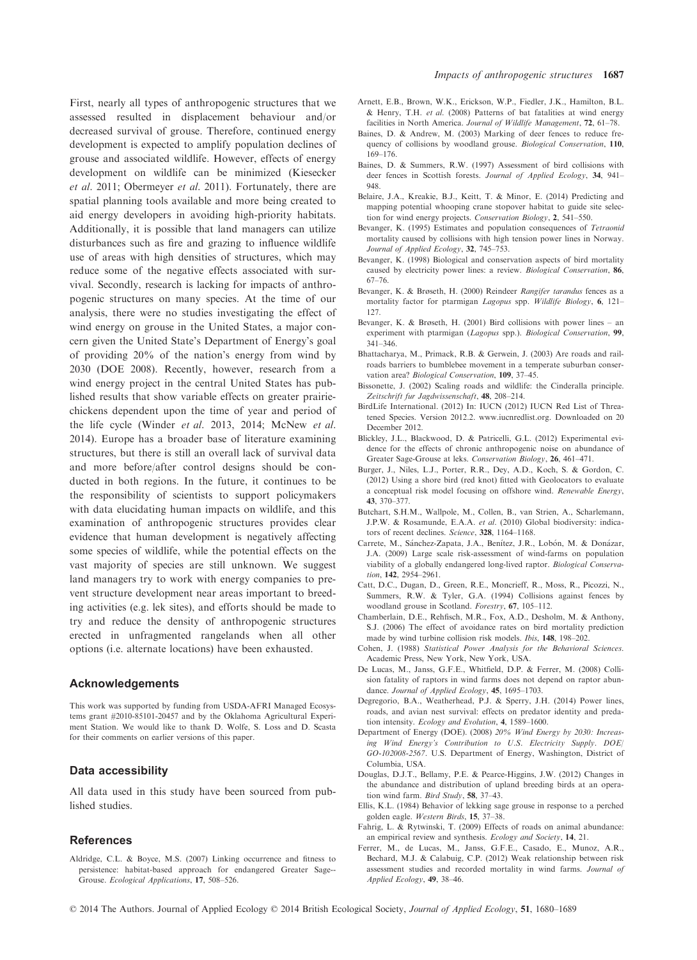First, nearly all types of anthropogenic structures that we assessed resulted in displacement behaviour and/or decreased survival of grouse. Therefore, continued energy development is expected to amplify population declines of grouse and associated wildlife. However, effects of energy development on wildlife can be minimized (Kiesecker et al. 2011; Obermeyer et al. 2011). Fortunately, there are spatial planning tools available and more being created to aid energy developers in avoiding high-priority habitats. Additionally, it is possible that land managers can utilize disturbances such as fire and grazing to influence wildlife use of areas with high densities of structures, which may reduce some of the negative effects associated with survival. Secondly, research is lacking for impacts of anthropogenic structures on many species. At the time of our analysis, there were no studies investigating the effect of wind energy on grouse in the United States, a major concern given the United State's Department of Energy's goal of providing 20% of the nation's energy from wind by 2030 (DOE 2008). Recently, however, research from a wind energy project in the central United States has published results that show variable effects on greater prairiechickens dependent upon the time of year and period of the life cycle (Winder et al. 2013, 2014; McNew et al. 2014). Europe has a broader base of literature examining structures, but there is still an overall lack of survival data and more before/after control designs should be conducted in both regions. In the future, it continues to be the responsibility of scientists to support policymakers with data elucidating human impacts on wildlife, and this examination of anthropogenic structures provides clear evidence that human development is negatively affecting some species of wildlife, while the potential effects on the vast majority of species are still unknown. We suggest land managers try to work with energy companies to prevent structure development near areas important to breeding activities (e.g. lek sites), and efforts should be made to try and reduce the density of anthropogenic structures erected in unfragmented rangelands when all other options (i.e. alternate locations) have been exhausted.

#### Acknowledgements

This work was supported by funding from USDA-AFRI Managed Ecosystems grant #2010-85101-20457 and by the Oklahoma Agricultural Experiment Station. We would like to thank D. Wolfe, S. Loss and D. Scasta for their comments on earlier versions of this paper.

## Data accessibility

All data used in this study have been sourced from published studies.

#### References

caused by electricity power lines: a review. Biological Conservation, 86, 67–76.

Journal of Applied Ecology, 32, 745-753.

169–176.

948.

Bevanger, K. & Brøseth, H. (2000) Reindeer Rangifer tarandus fences as a mortality factor for ptarmigan Lagopus spp. Wildlife Biology, 6, 121– 127.

Bevanger, K. (1998) Biological and conservation aspects of bird mortality

Arnett, E.B., Brown, W.K., Erickson, W.P., Fiedler, J.K., Hamilton, B.L. & Henry, T.H. et al. (2008) Patterns of bat fatalities at wind energy facilities in North America. Journal of Wildlife Management, 72, 61-78. facilities in North America. Journal of Wildlife Management, 72, 61–78.<br>Baines, D. & Andrew, M. (2003) Marking of deer fences to reduce frequency of collisions by woodland grouse. Biological Conservation, 110,

Baines, D. & Summers, R.W. (1997) Assessment of bird collisions with deer fences in Scottish forests. Journal of Applied Ecology, 34, 941–

Belaire, J.A., Kreakie, B.J., Keitt, T. & Minor, E. (2014) Predicting and mapping potential whooping crane stopover habitat to guide site selection for wind energy projects. Conservation Biology, 2, 541–550. Bevanger, K. (1995) Estimates and population consequences of Tetraonid mortality caused by collisions with high tension power lines in Norway.

- Bevanger, K. & Brøseth, H. (2001) Bird collisions with power lines an experiment with ptarmigan (Lagopus spp.). Biological Conservation, 99, 341–346.
- Bhattacharya, M., Primack, R.B. & Gerwein, J. (2003) Are roads and railroads barriers to bumblebee movement in a temperate suburban conservation area? Biological Conservation, 109, 37–45.
- Bissonette, J. (2002) Scaling roads and wildlife: the Cinderalla principle. Zeitschrift fur Jagdwissenschaft, 48, 208–214.
- BirdLife International. (2012) In: IUCN (2012) IUCN Red List of Threatened Species. Version 2012.2. www.iucnredlist.org. Downloaded on 20 December 2012.
- Blickley, J.L., Blackwood, D. & Patricelli, G.L. (2012) Experimental evidence for the effects of chronic anthropogenic noise on abundance of Greater Sage-Grouse at leks. Conservation Biology, 26, 461–471.
- Burger, J., Niles, L.J., Porter, R.R., Dey, A.D., Koch, S. & Gordon, C. (2012) Using a shore bird (red knot) fitted with Geolocators to evaluate a conceptual risk model focusing on offshore wind. Renewable Energy, 43, 370–377.
- Butchart, S.H.M., Wallpole, M., Collen, B., van Strien, A., Scharlemann, J.P.W. & Rosamunde, E.A.A. et al. (2010) Global biodiversity: indicators of recent declines. Science, 328, 1164–1168.
- Carrete, M., Sánchez-Zapata, J.A., Benítez, J.R., Lobón, M. & Donázar, J.A. (2009) Large scale risk-assessment of wind-farms on population viability of a globally endangered long-lived raptor. Biological Conservation, 142, 2954–2961.
- Catt, D.C., Dugan, D., Green, R.E., Moncrieff, R., Moss, R., Picozzi, N., Summers, R.W. & Tyler, G.A. (1994) Collisions against fences by woodland grouse in Scotland. Forestry, 67, 105–112.
- Chamberlain, D.E., Rehfisch, M.R., Fox, A.D., Desholm, M. & Anthony, S.J. (2006) The effect of avoidance rates on bird mortality prediction made by wind turbine collision risk models. Ibis, 148, 198–202.
- Cohen, J. (1988) Statistical Power Analysis for the Behavioral Sciences. Academic Press, New York, New York, USA.
- De Lucas, M., Janss, G.F.E., Whitfield, D.P. & Ferrer, M. (2008) Collision fatality of raptors in wind farms does not depend on raptor abundance. Journal of Applied Ecology, 45, 1695-1703.
- Degregorio, B.A., Weatherhead, P.J. & Sperry, J.H. (2014) Power lines, roads, and avian nest survival: effects on predator identity and predation intensity. Ecology and Evolution, 4, 1589–1600.
- Department of Energy (DOE). (2008) 20% Wind Energy by 2030: Increasing Wind Energy's Contribution to U.S. Electricity Supply. DOE/ GO-102008-2567. U.S. Department of Energy, Washington, District of Columbia, USA.
- Douglas, D.J.T., Bellamy, P.E. & Pearce-Higgins, J.W. (2012) Changes in the abundance and distribution of upland breeding birds at an operation wind farm. Bird Study, 58, 37–43.
- Ellis, K.L. (1984) Behavior of lekking sage grouse in response to a perched golden eagle. Western Birds, <sup>15</sup>, 37–38.
- Fahrig, L. & Rytwinski, T. (2009) Effects of roads on animal abundance: an empirical review and synthesis. Ecology and Society, 14, 21.
- Ferrer, M., de Lucas, M., Janss, G.F.E., Casado, E., Munoz, A.R., Bechard, M.J. & Calabuig, C.P. (2012) Weak relationship between risk assessment studies and recorded mortality in wind farms. Journal of Applied Ecology, 49, 38–46.
- Aldridge, C.L. & Boyce, M.S. (2007) Linking occurrence and fitness to persistence: habitat-based approach for endangered Greater Sage-- Grouse. Ecological Applications, 17, 508–526.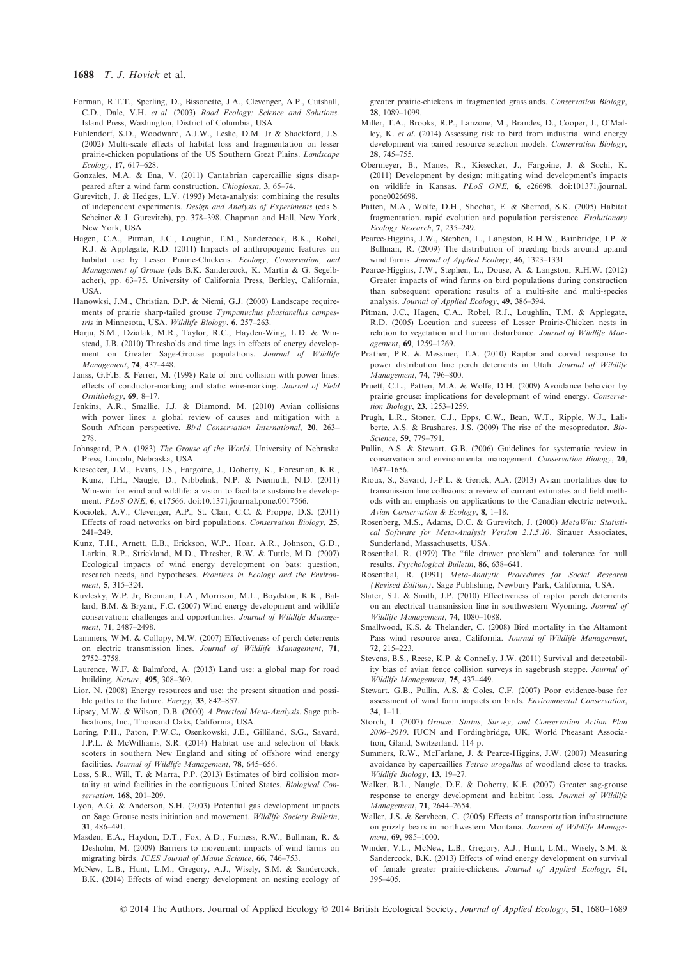- Forman, R.T.T., Sperling, D., Bissonette, J.A., Clevenger, A.P., Cutshall, C.D., Dale, V.H. et al. (2003) Road Ecology: Science and Solutions. Island Press, Washington, District of Columbia, USA.
- Fuhlendorf, S.D., Woodward, A.J.W., Leslie, D.M. Jr & Shackford, J.S. (2002) Multi-scale effects of habitat loss and fragmentation on lesser prairie-chicken populations of the US Southern Great Plains. Landscape Ecology, 17, 617–628.
- Gonzales, M.A. & Ena, V. (2011) Cantabrian capercaillie signs disappeared after a wind farm construction. Chioglossa, 3, 65–74.
- Gurevitch, J. & Hedges, L.V. (1993) Meta-analysis: combining the results of independent experiments. Design and Analysis of Experiments (eds S. Scheiner & J. Gurevitch), pp. 378–398. Chapman and Hall, New York, New York, USA.
- Hagen, C.A., Pitman, J.C., Loughin, T.M., Sandercock, B.K., Robel, R.J. & Applegate, R.D. (2011) Impacts of anthropogenic features on habitat use by Lesser Prairie-Chickens. Ecology, Conservation, and Management of Grouse (eds B.K. Sandercock, K. Martin & G. Segelbacher), pp. 63–75. University of California Press, Berkley, California, USA.
- Hanowksi, J.M., Christian, D.P. & Niemi, G.J. (2000) Landscape requirements of prairie sharp-tailed grouse Tympanuchus phasianellus campestris in Minnesota, USA. Wildlife Biology, 6, 257–263.
- Harju, S.M., Dzialak, M.R., Taylor, R.C., Hayden-Wing, L.D. & Winstead, J.B. (2010) Thresholds and time lags in effects of energy development on Greater Sage-Grouse populations. Journal of Wildlife Management 74 437-448
- Management, 74, 437–448. Janss, G.F.E. & Ferrer, M. (1998) Rate of bird collision with power lines: effects of conductor-marking and static wire-marking. Journal of Field Ornithology, 69, 8–17.
- Jenkins, A.R., Smallie, J.J. & Diamond, M. (2010) Avian collisions with power lines: a global review of causes and mitigation with a South African perspective. Bird Conservation International, 20, 263– 278.
- Johnsgard, P.A. (1983) The Grouse of the World. University of Nebraska Press, Lincoln, Nebraska, USA.
- Kiesecker, J.M., Evans, J.S., Fargoine, J., Doherty, K., Foresman, K.R., Kunz, T.H., Naugle, D., Nibbelink, N.P. & Niemuth, N.D. (2011) Win-win for wind and wildlife: a vision to facilitate sustainable development. PLoS ONE, 6, e17566. doi:10.1371/journal.pone.0017566.
- Kociolek, A.V., Clevenger, A.P., St. Clair, C.C. & Proppe, D.S. (2011) Effects of road networks on bird populations. Conservation Biology, 25, 241–249.
- Kunz, T.H., Arnett, E.B., Erickson, W.P., Hoar, A.R., Johnson, G.D., Larkin, R.P., Strickland, M.D., Thresher, R.W. & Tuttle, M.D. (2007) Ecological impacts of wind energy development on bats: question, research needs, and hypotheses. Frontiers in Ecology and the Environment, 5, 315–324.
- Kuvlesky, W.P. Jr, Brennan, L.A., Morrison, M.L., Boydston, K.K., Ballard, B.M. & Bryant, F.C. (2007) Wind energy development and wildlife conservation: challenges and opportunities. Journal of Wildlife Manage-
- ment, 71, 2487–2498.<br>Lammers, W.M. & Collopy, M.W. (2007) Effectiveness of perch deterrents on electric transmission lines. Journal of Wildlife Management, 71, 2752–2758.
- Laurence, W.F. & Balmford, A. (2013) Land use: a global map for road building. *Nature*, **495**, 308–309.<br>Lior, N. (2008) Energy resources and use: the present situation and possi-
- ble paths to the future. Energy, 33, 842–857.
- Lipsey, M.W. & Wilson, D.B. (2000) A Practical Meta-Analysis. Sage publications, Inc., Thousand Oaks, California, USA.
- Loring, P.H., Paton, P.W.C., Osenkowski, J.E., Gilliland, S.G., Savard, J.P.L. & McWilliams, S.R. (2014) Habitat use and selection of black scoters in southern New England and siting of offshore wind energy facilities. Journal of Wildlife Management, 78, 645–656.
- Loss, S.R., Will, T. & Marra, P.P. (2013) Estimates of bird collision mortality at wind facilities in the contiguous United States. Biological Conservation, 168, 201–209.
- Lyon, A.G. & Anderson, S.H. (2003) Potential gas development impacts on Sage Grouse nests initiation and movement. Wildlife Society Bulletin, 31, 486–491.
- Masden, E.A., Haydon, D.T., Fox, A.D., Furness, R.W., Bullman, R. & Desholm, M. (2009) Barriers to movement: impacts of wind farms on migrating birds. ICES Journal of Maine Science, 66, 746–753.
- McNew, L.B., Hunt, L.M., Gregory, A.J., Wisely, S.M. & Sandercock, B.K. (2014) Effects of wind energy development on nesting ecology of

greater prairie-chickens in fragmented grasslands. Conservation Biology, 28, 1089-1099.

- 28, 1089–1099. Miller, T.A., Brooks, R.P., Lanzone, M., Brandes, D., Cooper, J., O'Malley, K. et al. (2014) Assessing risk to bird from industrial wind energy development via paired resource selection models. Conservation Biology, 28, 745-755.
- 28, 745–755. Obermeyer, B., Manes, R., Kiesecker, J., Fargoine, J. & Sochi, K. (2011) Development by design: mitigating wind development's impacts on wildlife in Kansas. PLoS ONE, 6, e26698. doi:101371/journal. pone0026698.
- Patten, M.A., Wolfe, D.H., Shochat, E. & Sherrod, S.K. (2005) Habitat fragmentation, rapid evolution and population persistence. Evolutionary
- Ecology Research, 7, 235–249. Pearce-Higgins, J.W., Stephen, L., Langston, R.H.W., Bainbridge, I.P. & Bullman, R. (2009) The distribution of breeding birds around upland wind farms. Journal of Applied Ecology, 46, 1323–1331.
- Pearce-Higgins, J.W., Stephen, L., Douse, A. & Langston, R.H.W. (2012) Greater impacts of wind farms on bird populations during construction than subsequent operation: results of a multi-site and multi-species analysis. Journal of Applied Ecology, 49, 386–394.
- Pitman, J.C., Hagen, C.A., Robel, R.J., Loughlin, T.M. & Applegate, R.D. (2005) Location and success of Lesser Prairie-Chicken nests in relation to vegetation and human disturbance. Journal of Wildlife Man-
- agement, 69, 1259–1269.<br>Prather, P.R. & Messmer, T.A. (2010) Raptor and corvid response to power distribution line perch deterrents in Utah. Journal of Wildlife Management. 74, 796-800.
- Management, 74, 796-800.<br>Pruett, C.L., Patten, M.A. & Wolfe, D.H. (2009) Avoidance behavior by prairie grouse: implications for development of wind energy. Conserva-
- tion Biology, 23, 1253–1259.<br>Prugh, L.R., Stoner, C.J., Epps, C.W., Bean, W.T., Ripple, W.J., Laliberte, A.S. & Brashares, J.S. (2009) The rise of the mesopredator. Bio-
- Science, 59, 779–791.<br>Pullin, A.S. & Stewart, G.B. (2006) Guidelines for systematic review in conservation and environmental management. Conservation Biology, 20, 1647–1656.
- Rioux, S., Savard, J.-P.L. & Gerick, A.A. (2013) Avian mortalities due to transmission line collisions: a review of current estimates and field methods with an emphasis on applications to the Canadian electric network. Avian Conservation & Ecology, 8, 1–18.
- Rosenberg, M.S., Adams, D.C. & Gurevitch, J. (2000) MetaWin: Statistical Software for Meta-Analysis Version 2.1.5.10. Sinauer Associates, Sunderland, Massachusetts, USA.
- Rosenthal, R. (1979) The "file drawer problem" and tolerance for null results. Psychological Bulletin, 86, 638–641.
- Rosenthal, R. (1991) Meta-Analytic Procedures for Social Research (Revised Edition). Sage Publishing, Newbury Park, California, USA.
- Slater, S.J. & Smith, J.P. (2010) Effectiveness of raptor perch deterrents on an electrical transmission line in southwestern Wyoming. Journal of Wildlife Management, 74, 1080–1088.
- Smallwood, K.S. & Thelander, C. (2008) Bird mortality in the Altamont Pass wind resource area, California. Journal of Wildlife Management,
- 72, 215–223. Stevens, B.S., Reese, K.P. & Connelly, J.W. (2011) Survival and detectability bias of avian fence collision surveys in sagebrush steppe. Journal of
- Wildlife Management, 75, 437–449. Stewart, G.B., Pullin, A.S. & Coles, C.F. (2007) Poor evidence-base for assessment of wind farm impacts on birds. Environmental Conservation, 34, 1–11.
- Storch, I. (2007) Grouse: Status, Survey, and Conservation Action Plan 2006–2010. IUCN and Fordingbridge, UK, World Pheasant Association, Gland, Switzerland. 114 p.
- Summers, R.W., McFarlane, J. & Pearce-Higgins, J.W. (2007) Measuring avoidance by capercaillies Tetrao urogallus of woodland close to tracks. Wildlife Biology, 13, 19–27.
- Walker, B.L., Naugle, D.E. & Doherty, K.E. (2007) Greater sag-grouse response to energy development and habitat loss. Journal of Wildlife Management, 71, 2644–2654.
- Waller, J.S. & Servheen, C. (2005) Effects of transportation infrastructure on grizzly bears in northwestern Montana. Journal of Wildlife Management, 69, 985-1000.
- Winder, V.L., McNew, L.B., Gregory, A.J., Hunt, L.M., Wisely, S.M. & Sandercock, B.K. (2013) Effects of wind energy development on survival of female greater prairie-chickens. Journal of Applied Ecology, 51, 395–405.